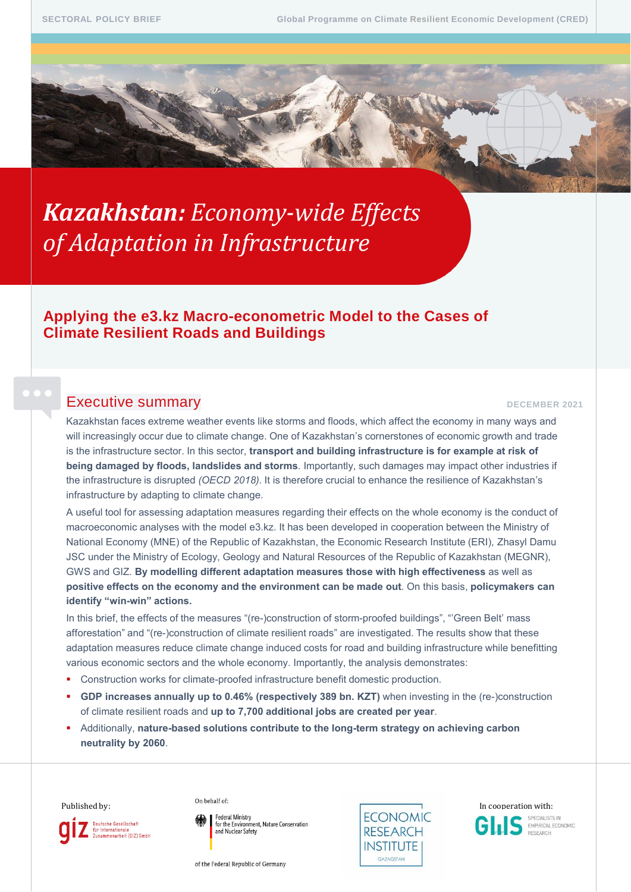# *Kazakhstan: Economy-wide Effects of Adaptation in Infrastructure*

# **Applying the e3.kz Macro-econometric Model to the Cases of Climate Resilient Roads and Buildings**

# Executive summary **DECEMBER 2021**

Kazakhstan faces extreme weather events like storms and floods, which affect the economy in many ways and will increasingly occur due to climate change. One of Kazakhstan's cornerstones of economic growth and trade is the infrastructure sector. In this sector, **transport and building infrastructure is for example at risk of being damaged by floods, landslides and storms**. Importantly, such damages may impact other industries if the infrastructure is disrupted *(OECD 2018)*. It is therefore crucial to enhance the resilience of Kazakhstan's infrastructure by adapting to climate change.

A useful tool for assessing adaptation measures regarding their effects on the whole economy is the conduct of macroeconomic analyses with the model e3.kz. It has been developed in cooperation between the Ministry of National Economy (MNE) of the Republic of Kazakhstan, the Economic Research Institute (ERI), Zhasyl Damu JSC under the Ministry of Ecology, Geology and Natural Resources of the Republic of Kazakhstan (MEGNR), GWS and GIZ. **By modelling different adaptation measures those with high effectiveness** as well as **positive effects on the economy and the environment can be made out**. On this basis, **policymakers can identify "win-win" actions.**

In this brief, the effects of the measures "(re-)construction of storm-proofed buildings", "'Green Belt' mass afforestation" and "(re-)construction of climate resilient roads" are investigated. The results show that these adaptation measures reduce climate change induced costs for road and building infrastructure while benefitting various economic sectors and the whole economy. Importantly, the analysis demonstrates:

- Construction works for climate-proofed infrastructure benefit domestic production.
- GDP increases annually up to 0.46% (respectively 389 bn. KZT) when investing in the (re-)construction of climate resilient roads and **up to 7,700 additional jobs are created per year**.
- Additionally, **nature-based solutions contribute to the long-term strategy on achieving carbon neutrality by 2060**.



Federal Ministry<br>for the Environment, Nature Conservation and Nuclear Safety





EMPIRICAL ECONOMIC

of the Federal Republic of Germany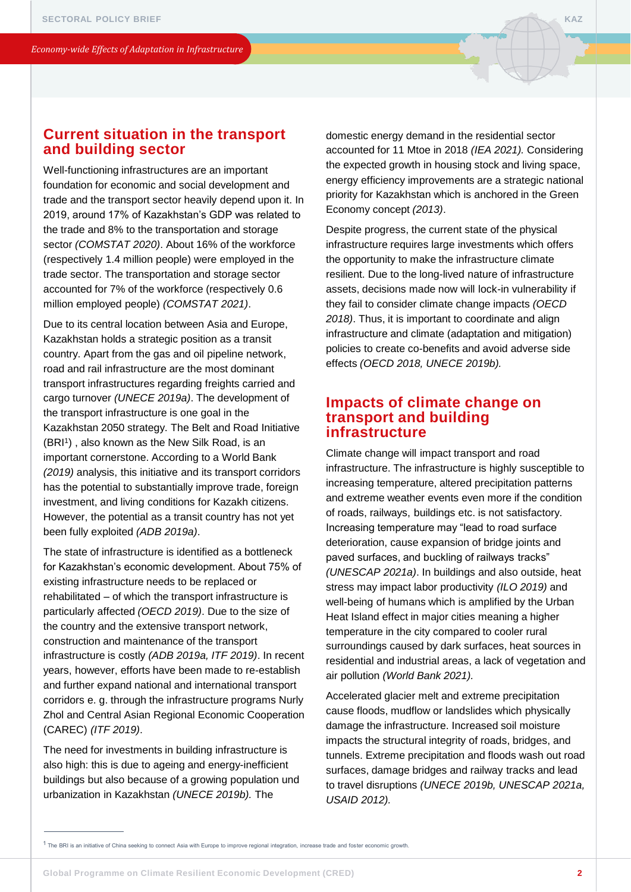# **Current situation in the transport and building sector**

Well-functioning infrastructures are an important foundation for economic and social development and trade and the transport sector heavily depend upon it. In 2019, around 17% of Kazakhstan's GDP was related to the trade and 8% to the transportation and storage sector *(COMSTAT 2020)*. About 16% of the workforce (respectively 1.4 million people) were employed in the trade sector. The transportation and storage sector accounted for 7% of the workforce (respectively 0.6 million employed people) *(COMSTAT 2021)*.

Due to its central location between Asia and Europe, Kazakhstan holds a strategic position as a transit country. Apart from the gas and oil pipeline network, road and rail infrastructure are the most dominant transport infrastructures regarding freights carried and cargo turnover *(UNECE 2019a)*. The development of the transport infrastructure is one goal in the Kazakhstan 2050 strategy. The Belt and Road Initiative (BRI<sup>1</sup>), also known as the New Silk Road, is an important cornerstone. According to a World Bank *(2019)* analysis, this initiative and its transport corridors has the potential to substantially improve trade, foreign investment, and living conditions for Kazakh citizens. However, the potential as a transit country has not yet been fully exploited *(ADB 2019a)*.

The state of infrastructure is identified as a bottleneck for Kazakhstan's economic development. About 75% of existing infrastructure needs to be replaced or rehabilitated – of which the transport infrastructure is particularly affected *(OECD 2019)*. Due to the size of the country and the extensive transport network, construction and maintenance of the transport infrastructure is costly *(ADB 2019a, ITF 2019)*. In recent years, however, efforts have been made to re-establish and further expand national and international transport corridors e. g. through the infrastructure programs Nurly Zhol and Central Asian Regional Economic Cooperation (CAREC) *(ITF 2019)*.

The need for investments in building infrastructure is also high: this is due to ageing and energy-inefficient buildings but also because of a growing population und urbanization in Kazakhstan *(UNECE 2019b).* The

domestic energy demand in the residential sector accounted for 11 Mtoe in 2018 *(IEA 2021).* Considering the expected growth in housing stock and living space, energy efficiency improvements are a strategic national priority for Kazakhstan which is anchored in the Green Economy concept *(2013)*.

Despite progress, the current state of the physical infrastructure requires large investments which offers the opportunity to make the infrastructure climate resilient. Due to the long-lived nature of infrastructure assets, decisions made now will lock-in vulnerability if they fail to consider climate change impacts *(OECD 2018)*. Thus, it is important to coordinate and align infrastructure and climate (adaptation and mitigation) policies to create co-benefits and avoid adverse side effects *(OECD 2018, UNECE 2019b).*

# **Impacts of climate change on transport and building infrastructure**

Climate change will impact transport and road infrastructure. The infrastructure is highly susceptible to increasing temperature, altered precipitation patterns and extreme weather events even more if the condition of roads, railways, buildings etc. is not satisfactory. Increasing temperature may "lead to road surface deterioration, cause expansion of bridge joints and paved surfaces, and buckling of railways tracks" *(UNESCAP 2021a)*. In buildings and also outside, heat stress may impact labor productivity *(ILO 2019)* and well-being of humans which is amplified by the Urban Heat Island effect in major cities meaning a higher temperature in the city compared to cooler rural surroundings caused by dark surfaces, heat sources in residential and industrial areas, a lack of vegetation and air pollution *(World Bank 2021).*

Accelerated glacier melt and extreme precipitation cause floods, mudflow or landslides which physically damage the infrastructure. Increased soil moisture impacts the structural integrity of roads, bridges, and tunnels. Extreme precipitation and floods wash out road surfaces, damage bridges and railway tracks and lead to travel disruptions *(UNECE 2019b, UNESCAP 2021a, USAID 2012).* 

<sup>1</sup> The BRI is an initiative of China seeking to connect Asia with Europe to improve regional integration, increase trade and foster economic growth.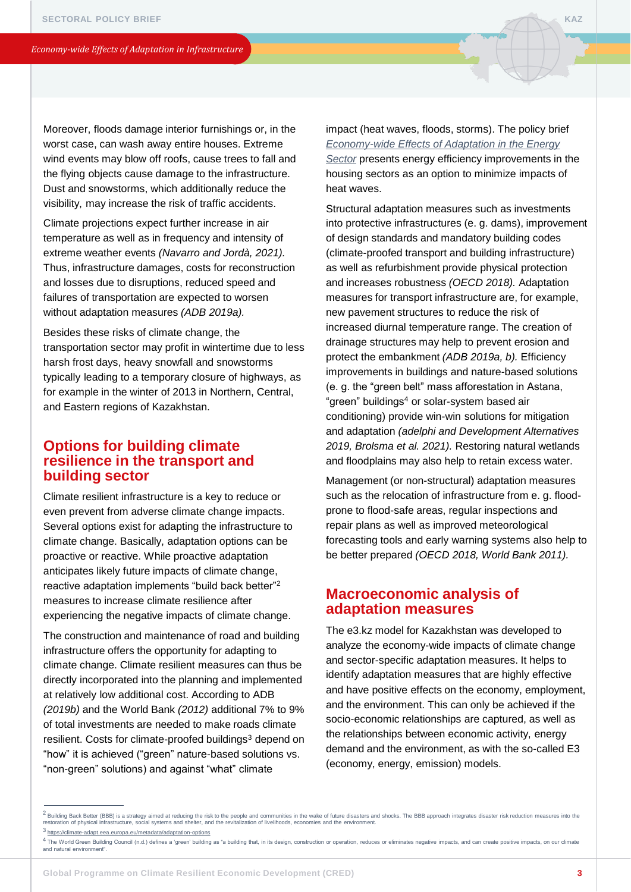Moreover, floods damage interior furnishings or, in the worst case, can wash away entire houses. Extreme wind events may blow off roofs, cause trees to fall and the flying objects cause damage to the infrastructure. Dust and snowstorms, which additionally reduce the visibility, may increase the risk of traffic accidents.

Climate projections expect further increase in air temperature as well as in frequency and intensity of extreme weather events *(Navarro and Jordà, 2021).*  Thus, infrastructure damages, costs for reconstruction and losses due to disruptions, reduced speed and failures of transportation are expected to worsen without adaptation measures *(ADB 2019a).* 

Besides these risks of climate change, the transportation sector may profit in wintertime due to less harsh frost days, heavy snowfall and snowstorms typically leading to a temporary closure of highways, as for example in the winter of 2013 in Northern, Central, and Eastern regions of Kazakhstan.

# **Options for building climate resilience in the transport and building sector**

Climate resilient infrastructure is a key to reduce or even prevent from adverse climate change impacts. Several options exist for adapting the infrastructure to climate change. Basically, adaptation options can be proactive or reactive. While proactive adaptation anticipates likely future impacts of climate change, reactive adaptation implements "build back better"<sup>2</sup> measures to increase climate resilience after experiencing the negative impacts of climate change.

The construction and maintenance of road and building infrastructure offers the opportunity for adapting to climate change. Climate resilient measures can thus be directly incorporated into the planning and implemented at relatively low additional cost. According to ADB *(2019b)* and the World Bank *(2012)* additional 7% to 9% of total investments are needed to make roads climate resilient. Costs for climate-proofed buildings<sup>3</sup> depend on "how" it is achieved ("green" nature-based solutions vs. "non-green" solutions) and against "what" climate

impact (heat waves, floods, storms). The policy brief *[Economy-wide Effects of Adaptation in the Energy](https://www.giz.de/de/downloads/kazakhstan-economy-wide-effects-of-adaptation-in-the-energy-sector.pdf)  Sector* presents energy efficiency improvements in the housing sectors as an option to minimize impacts of heat waves.

Structural adaptation measures such as investments into protective infrastructures (e. g. dams), improvement of design standards and mandatory building codes (climate-proofed transport and building infrastructure) as well as refurbishment provide physical protection and increases robustness *(OECD 2018).* Adaptation measures for transport infrastructure are, for example, new pavement structures to reduce the risk of increased diurnal temperature range. The creation of drainage structures may help to prevent erosion and protect the embankment *(ADB 2019a, b).* Efficiency improvements in buildings and nature-based solutions (e. g. the "green belt" mass afforestation in Astana, "green" buildings<sup>4</sup> or solar-system based air conditioning) provide win-win solutions for mitigation and adaptation *(adelphi and Development Alternatives 2019, Brolsma et al. 2021).* Restoring natural wetlands and floodplains may also help to retain excess water.

Management (or non-structural) adaptation measures such as the relocation of infrastructure from e. g. floodprone to flood-safe areas, regular inspections and repair plans as well as improved meteorological forecasting tools and early warning systems also help to be better prepared *(OECD 2018, World Bank 2011).*

# **Macroeconomic analysis of adaptation measures**

The e3.kz model for Kazakhstan was developed to analyze the economy-wide impacts of climate change and sector-specific adaptation measures. It helps to identify adaptation measures that are highly effective and have positive effects on the economy, employment, and the environment. This can only be achieved if the socio-economic relationships are captured, as well as the relationships between economic activity, energy demand and the environment, as with the so-called E3 (economy, energy, emission) models.

3 <https://climate-adapt.eea.europa.eu/metadata/adaptation-options>

 $^2$  Building Back Better (BBB) is a strategy aimed at reducing the risk to the people and communities in the wake of future disasters and shocks. The BBB approach integrates disaster risk reduction measures into the restoration of physical infrastructure, social systems and shelter, and the revitalization of livelihoods, economies and the environment.

<sup>4</sup> The World Green Building Council (n.d.) defines a 'green' building as "a building that, in its design, construction or operation, reduces or eliminates negative impacts, and can create positive impacts, on our climate and natural environment".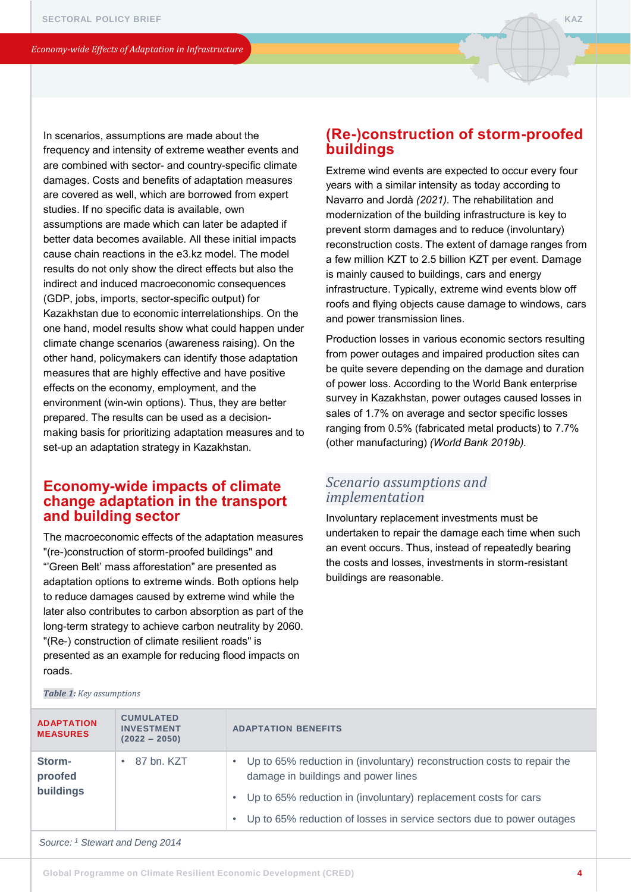In scenarios, assumptions are made about the frequency and intensity of extreme weather events and are combined with sector- and country-specific climate damages. Costs and benefits of adaptation measures are covered as well, which are borrowed from expert studies. If no specific data is available, own assumptions are made which can later be adapted if better data becomes available. All these initial impacts cause chain reactions in the e3.kz model. The model results do not only show the direct effects but also the indirect and induced macroeconomic consequences (GDP, jobs, imports, sector-specific output) for Kazakhstan due to economic interrelationships. On the one hand, model results show what could happen under climate change scenarios (awareness raising). On the other hand, policymakers can identify those adaptation measures that are highly effective and have positive effects on the economy, employment, and the environment (win-win options). Thus, they are better prepared. The results can be used as a decisionmaking basis for prioritizing adaptation measures and to set-up an adaptation strategy in Kazakhstan.

# **Economy-wide impacts of climate change adaptation in the transport and building sector**

The macroeconomic effects of the adaptation measures "(re-)construction of storm-proofed buildings" and "'Green Belt' mass afforestation" are presented as adaptation options to extreme winds. Both options help to reduce damages caused by extreme wind while the later also contributes to carbon absorption as part of the long-term strategy to achieve carbon neutrality by 2060. "(Re-) construction of climate resilient roads" is presented as an example for reducing flood impacts on roads.

# **(Re-)construction of storm-proofed buildings**

Extreme wind events are expected to occur every four years with a similar intensity as today according to Navarro and Jordà *(2021).* The rehabilitation and modernization of the building infrastructure is key to prevent storm damages and to reduce (involuntary) reconstruction costs. The extent of damage ranges from a few million KZT to 2.5 billion KZT per event. Damage is mainly caused to buildings, cars and energy infrastructure. Typically, extreme wind events blow off roofs and flying objects cause damage to windows, cars and power transmission lines.

Production losses in various economic sectors resulting from power outages and impaired production sites can be quite severe depending on the damage and duration of power loss. According to the World Bank enterprise survey in Kazakhstan, power outages caused losses in sales of 1.7% on average and sector specific losses ranging from 0.5% (fabricated metal products) to 7.7% (other manufacturing) *(World Bank 2019b).*

# *Scenario assumptions and implementation*

Involuntary replacement investments must be undertaken to repair the damage each time when such an event occurs. Thus, instead of repeatedly bearing the costs and losses, investments in storm-resistant buildings are reasonable.

| <b>ADAPTATION</b><br><b>MEASURES</b> | <b>CUMULATED</b><br><b>INVESTMENT</b><br>$(2022 - 2050)$ | <b>ADAPTATION BENEFITS</b>                                                                                     |
|--------------------------------------|----------------------------------------------------------|----------------------------------------------------------------------------------------------------------------|
| Storm-<br>proofed<br>buildings       | 87 bn. KZT                                               | Up to 65% reduction in (involuntary) reconstruction costs to repair the<br>damage in buildings and power lines |
|                                      |                                                          | Up to 65% reduction in (involuntary) replacement costs for cars                                                |
|                                      |                                                          | Up to 65% reduction of losses in service sectors due to power outages                                          |

*Table 1: Key assumptions* 

*Source: <sup>1</sup> Stewart and Deng 2014*

```
Global Programme on Climate Resilient Economic Development (CRED)
```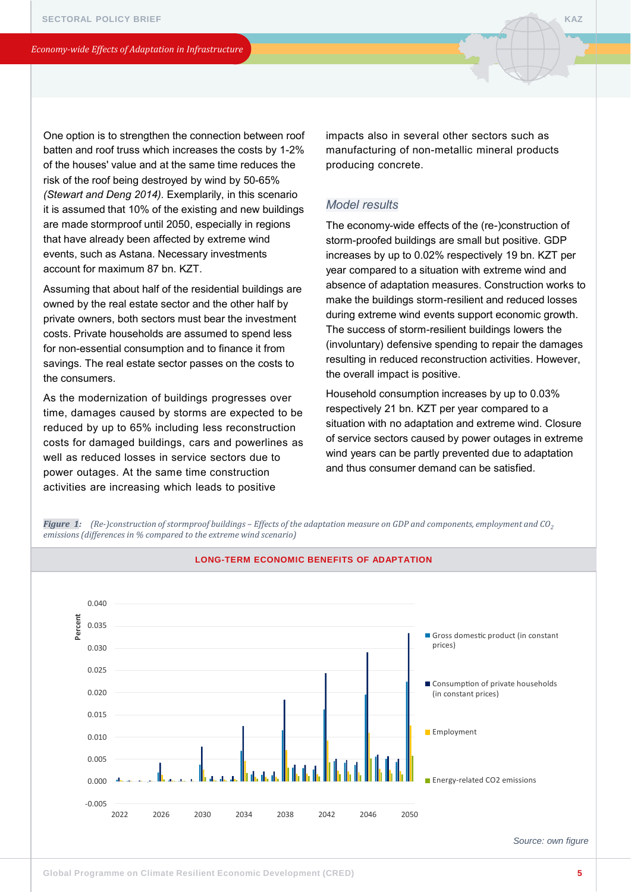One option is to strengthen the connection between roof batten and roof truss which increases the costs by 1-2% of the houses' value and at the same time reduces the risk of the roof being destroyed by wind by 50-65% *(Stewart and Deng 2014).* Exemplarily, in this scenario it is assumed that 10% of the existing and new buildings are made stormproof until 2050, especially in regions that have already been affected by extreme wind events, such as Astana. Necessary investments account for maximum 87 bn. KZT.

Assuming that about half of the residential buildings are owned by the real estate sector and the other half by private owners, both sectors must bear the investment costs. Private households are assumed to spend less for non-essential consumption and to finance it from savings. The real estate sector passes on the costs to the consumers.

As the modernization of buildings progresses over time, damages caused by storms are expected to be reduced by up to 65% including less reconstruction costs for damaged buildings, cars and powerlines as well as reduced losses in service sectors due to power outages. At the same time construction activities are increasing which leads to positive

impacts also in several other sectors such as manufacturing of non-metallic mineral products producing concrete.

#### *Model results*

The economy-wide effects of the (re-)construction of storm-proofed buildings are small but positive. GDP increases by up to 0.02% respectively 19 bn. KZT per year compared to a situation with extreme wind and absence of adaptation measures. Construction works to make the buildings storm-resilient and reduced losses during extreme wind events support economic growth. The success of storm-resilient buildings lowers the (involuntary) defensive spending to repair the damages resulting in reduced reconstruction activities. However, the overall impact is positive.

Household consumption increases by up to 0.03% respectively 21 bn. KZT per year compared to a situation with no adaptation and extreme wind. Closure of service sectors caused by power outages in extreme wind years can be partly prevented due to adaptation and thus consumer demand can be satisfied.





*Source: own figure*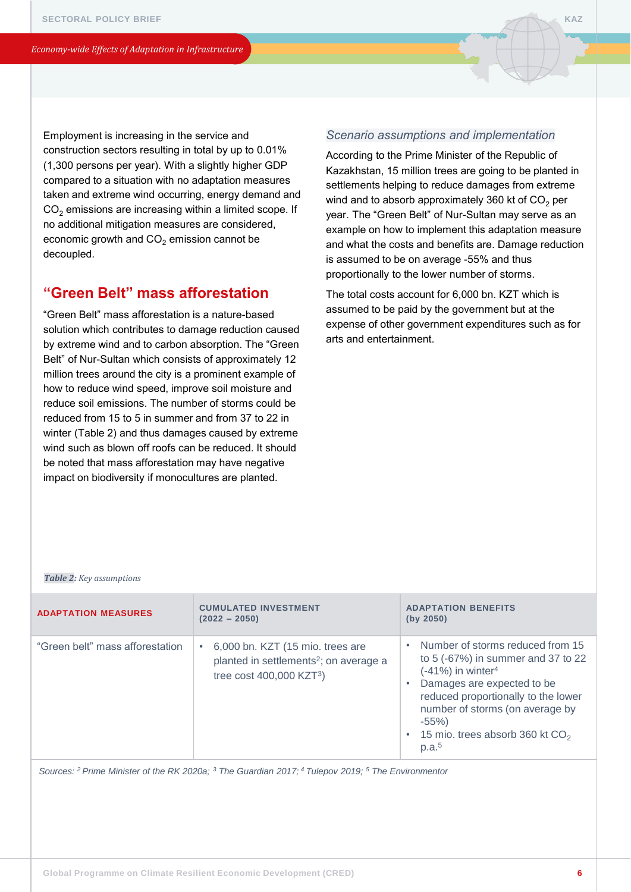Employment is increasing in the service and construction sectors resulting in total by up to 0.01% (1,300 persons per year). With a slightly higher GDP compared to a situation with no adaptation measures taken and extreme wind occurring, energy demand and  $CO<sub>2</sub>$  emissions are increasing within a limited scope. If no additional mitigation measures are considered, economic growth and  $CO<sub>2</sub>$  emission cannot be decoupled.

# **"Green Belt" mass afforestation**

"Green Belt" mass afforestation is a nature-based solution which contributes to damage reduction caused by extreme wind and to carbon absorption. The "Green Belt" of Nur-Sultan which consists of approximately 12 million trees around the city is a prominent example of how to reduce wind speed, improve soil moisture and reduce soil emissions. The number of storms could be reduced from 15 to 5 in summer and from 37 to 22 in winter (Table 2) and thus damages caused by extreme wind such as blown off roofs can be reduced. It should be noted that mass afforestation may have negative impact on biodiversity if monocultures are planted.

#### *Scenario assumptions and implementation*

According to the Prime Minister of the Republic of Kazakhstan, 15 million trees are going to be planted in settlements helping to reduce damages from extreme wind and to absorb approximately 360 kt of  $CO<sub>2</sub>$  per year. The "Green Belt" of Nur-Sultan may serve as an example on how to implement this adaptation measure and what the costs and benefits are. Damage reduction is assumed to be on average -55% and thus proportionally to the lower number of storms.

The total costs account for 6,000 bn. KZT which is assumed to be paid by the government but at the expense of other government expenditures such as for arts and entertainment.

#### *Table 2: Key assumptions*

| <b>ADAPTATION MEASURES</b>      | <b>CUMULATED INVESTMENT</b><br>$(2022 - 2050)$                                                                                        | <b>ADAPTATION BENEFITS</b><br>(by 2050)                                                                                                                                                                                                                                                 |
|---------------------------------|---------------------------------------------------------------------------------------------------------------------------------------|-----------------------------------------------------------------------------------------------------------------------------------------------------------------------------------------------------------------------------------------------------------------------------------------|
| "Green belt" mass afforestation | 6,000 bn. KZT (15 mio. trees are<br>٠<br>planted in settlements <sup>2</sup> ; on average a<br>tree cost $400,000$ KZT <sup>3</sup> ) | Number of storms reduced from 15<br>to 5 (-67%) in summer and 37 to 22<br>$(-41%)$ in winter <sup>4</sup><br>Damages are expected to be<br>reduced proportionally to the lower<br>number of storms (on average by<br>$-55%$<br>• 15 mio. trees absorb 360 kt $CO2$<br>p.a. <sup>5</sup> |

*Sources: <sup>2</sup>Prime Minister of the RK 2020a; <sup>3</sup> The Guardian 2017; <sup>4</sup>Tulepov 2019; <sup>5</sup> The Environmentor*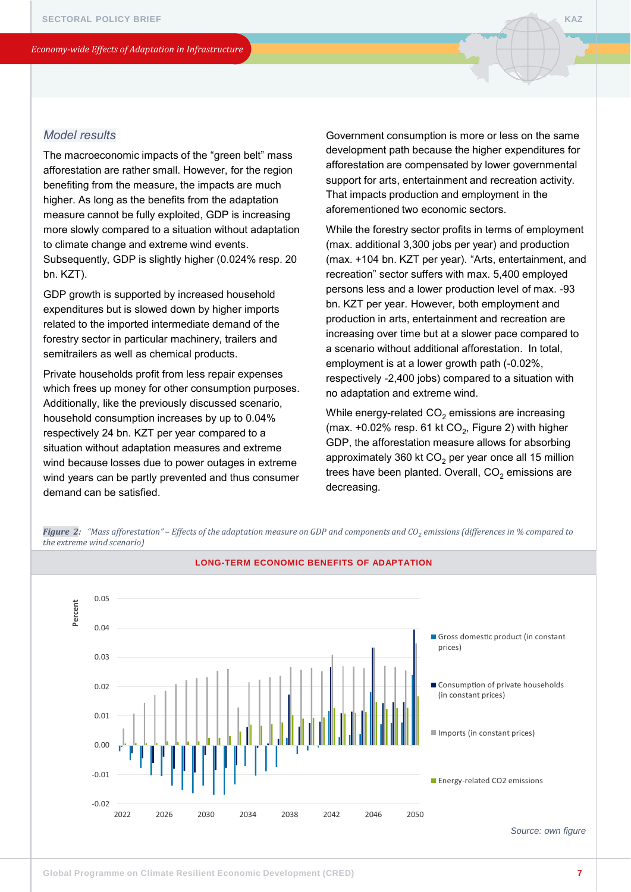### *Model results*

The macroeconomic impacts of the "green belt" mass afforestation are rather small. However, for the region benefiting from the measure, the impacts are much higher. As long as the benefits from the adaptation measure cannot be fully exploited, GDP is increasing more slowly compared to a situation without adaptation to climate change and extreme wind events. Subsequently, GDP is slightly higher (0.024% resp. 20 bn. KZT).

GDP growth is supported by increased household expenditures but is slowed down by higher imports related to the imported intermediate demand of the forestry sector in particular machinery, trailers and semitrailers as well as chemical products.

Private households profit from less repair expenses which frees up money for other consumption purposes. Additionally, like the previously discussed scenario, household consumption increases by up to 0.04% respectively 24 bn. KZT per year compared to a situation without adaptation measures and extreme wind because losses due to power outages in extreme wind years can be partly prevented and thus consumer demand can be satisfied.

Government consumption is more or less on the same development path because the higher expenditures for afforestation are compensated by lower governmental support for arts, entertainment and recreation activity. That impacts production and employment in the aforementioned two economic sectors.

While the forestry sector profits in terms of employment (max. additional 3,300 jobs per year) and production (max. +104 bn. KZT per year). "Arts, entertainment, and recreation" sector suffers with max. 5,400 employed persons less and a lower production level of max. -93 bn. KZT per year. However, both employment and production in arts, entertainment and recreation are increasing over time but at a slower pace compared to a scenario without additional afforestation. In total, employment is at a lower growth path (-0.02%, respectively -2,400 jobs) compared to a situation with no adaptation and extreme wind.

While energy-related  $CO<sub>2</sub>$  emissions are increasing (max.  $+0.02\%$  resp. 61 kt CO<sub>2</sub>, Figure 2) with higher GDP, the afforestation measure allows for absorbing approximately 360 kt  $CO<sub>2</sub>$  per year once all 15 million trees have been planted. Overall,  $CO<sub>2</sub>$  emissions are decreasing.

*Figure 2: "Mass afforestation" – Effects of the adaptation measure on GDP and components and CO<sup>2</sup> emissions (differences in % compared to the extreme wind scenario)*

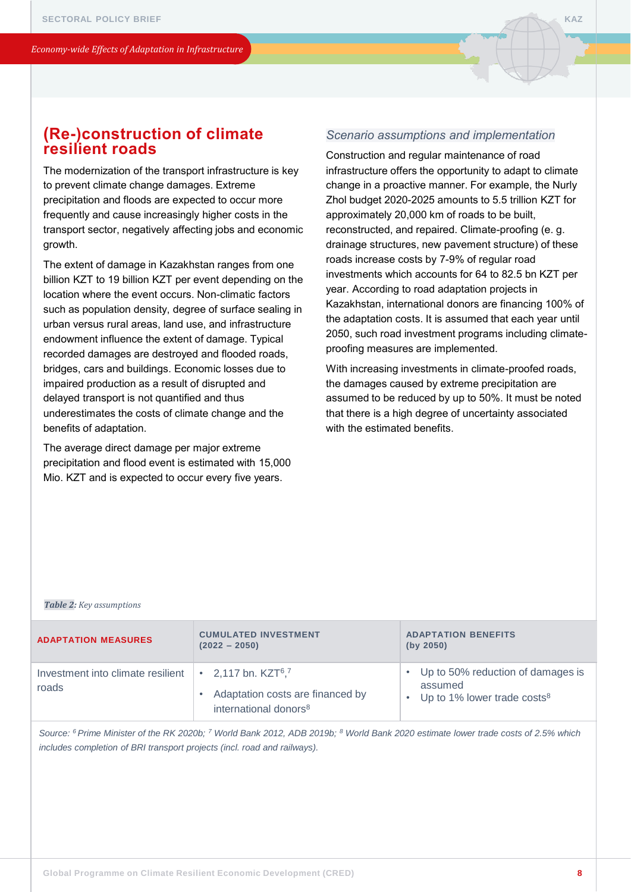# **(Re-)construction of climate resilient roads**

The modernization of the transport infrastructure is key to prevent climate change damages. Extreme precipitation and floods are expected to occur more frequently and cause increasingly higher costs in the transport sector, negatively affecting jobs and economic growth.

The extent of damage in Kazakhstan ranges from one billion KZT to 19 billion KZT per event depending on the location where the event occurs. Non-climatic factors such as population density, degree of surface sealing in urban versus rural areas, land use, and infrastructure endowment influence the extent of damage. Typical recorded damages are destroyed and flooded roads, bridges, cars and buildings. Economic losses due to impaired production as a result of disrupted and delayed transport is not quantified and thus underestimates the costs of climate change and the benefits of adaptation.

The average direct damage per major extreme precipitation and flood event is estimated with 15,000 Mio. KZT and is expected to occur every five years.

#### *Scenario assumptions and implementation*

Construction and regular maintenance of road infrastructure offers the opportunity to adapt to climate change in a proactive manner. For example, the Nurly Zhol budget 2020-2025 amounts to 5.5 trillion KZT for approximately 20,000 km of roads to be built, reconstructed, and repaired. Climate-proofing (e. g. drainage structures, new pavement structure) of these roads increase costs by 7-9% of regular road investments which accounts for 64 to 82.5 bn KZT per year. According to road adaptation projects in Kazakhstan, international donors are financing 100% of the adaptation costs. It is assumed that each year until 2050, such road investment programs including climateproofing measures are implemented.

With increasing investments in climate-proofed roads, the damages caused by extreme precipitation are assumed to be reduced by up to 50%. It must be noted that there is a high degree of uncertainty associated with the estimated benefits.

#### *Table 2: Key assumptions*

| <b>ADAPTATION MEASURES</b>                                                                   | <b>CUMULATED INVESTMENT</b><br>$(2022 - 2050)$                        | <b>ADAPTATION BENEFITS</b><br>(by 2050)                                                     |
|----------------------------------------------------------------------------------------------|-----------------------------------------------------------------------|---------------------------------------------------------------------------------------------|
| Investment into climate resilient $\cdot$ 2.117 bn. KZT <sup>6</sup> . <sup>7</sup><br>roads | Adaptation costs are financed by<br>international donors <sup>8</sup> | • Up to 50% reduction of damages is<br>assumed<br>• Up to 1% lower trade costs <sup>8</sup> |

*Source: <sup>6</sup>Prime Minister of the RK 2020b; <sup>7</sup> World Bank 2012, ADB 2019b; <sup>8</sup> World Bank 2020 estimate lower trade costs of 2.5% which includes completion of BRI transport projects (incl. road and railways).*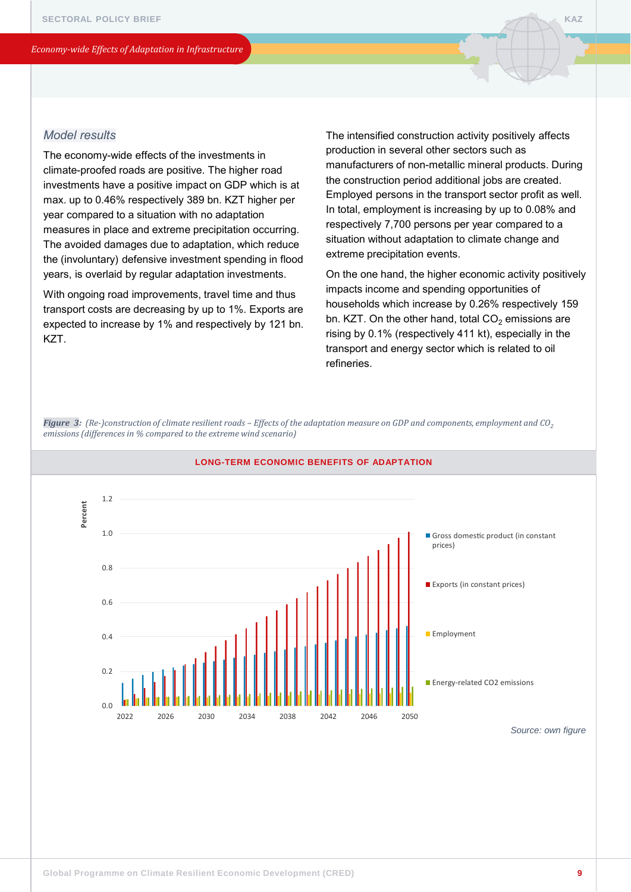### *Model results*

The economy-wide effects of the investments in climate-proofed roads are positive. The higher road investments have a positive impact on GDP which is at max. up to 0.46% respectively 389 bn. KZT higher per year compared to a situation with no adaptation measures in place and extreme precipitation occurring. The avoided damages due to adaptation, which reduce the (involuntary) defensive investment spending in flood years, is overlaid by regular adaptation investments.

With ongoing road improvements, travel time and thus transport costs are decreasing by up to 1%. Exports are expected to increase by 1% and respectively by 121 bn. KZT.

The intensified construction activity positively affects production in several other sectors such as manufacturers of non-metallic mineral products. During the construction period additional jobs are created. Employed persons in the transport sector profit as well. In total, employment is increasing by up to 0.08% and respectively 7,700 persons per year compared to a situation without adaptation to climate change and extreme precipitation events.

On the one hand, the higher economic activity positively impacts income and spending opportunities of households which increase by 0.26% respectively 159 bn. KZT. On the other hand, total  $CO<sub>2</sub>$  emissions are rising by 0.1% (respectively 411 kt), especially in the transport and energy sector which is related to oil refineries.

*Figure 3: (Re-)construction of climate resilient roads – Effects of the adaptation measure on GDP and components, employment and CO<sup>2</sup> emissions (differences in % compared to the extreme wind scenario)*



#### **LONG-TERM ECONOMIC BENEFITS OF ADAPTATION**

*Source: own figure*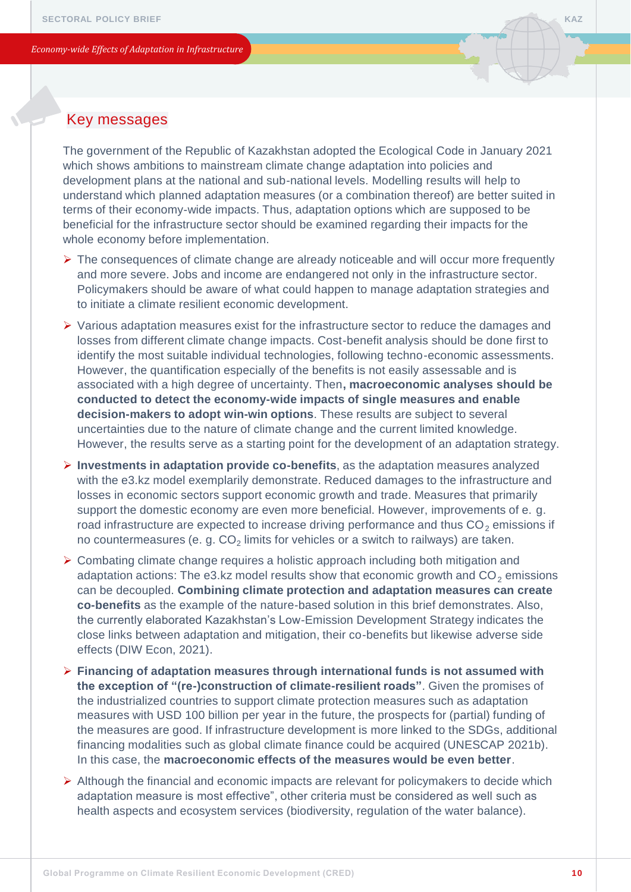The government of the Republic of Kazakhstan adopted the Ecological Code in January 2021 which shows ambitions to mainstream climate change adaptation into policies and development plans at the national and sub-national levels. Modelling results will help to understand which planned adaptation measures (or a combination thereof) are better suited in terms of their economy-wide impacts. Thus, adaptation options which are supposed to be beneficial for the infrastructure sector should be examined regarding their impacts for the whole economy before implementation.

- ➢ The consequences of climate change are already noticeable and will occur more frequently and more severe. Jobs and income are endangered not only in the infrastructure sector. Policymakers should be aware of what could happen to manage adaptation strategies and to initiate a climate resilient economic development.
- ➢ Various adaptation measures exist for the infrastructure sector to reduce the damages and losses from different climate change impacts. Cost-benefit analysis should be done first to identify the most suitable individual technologies, following techno-economic assessments. However, the quantification especially of the benefits is not easily assessable and is associated with a high degree of uncertainty. Then**, macroeconomic analyses should be conducted to detect the economy-wide impacts of single measures and enable decision-makers to adopt win-win options**. These results are subject to several uncertainties due to the nature of climate change and the current limited knowledge. However, the results serve as a starting point for the development of an adaptation strategy.
- ➢ **Investments in adaptation provide co-benefits**, as the adaptation measures analyzed with the e3.kz model exemplarily demonstrate. Reduced damages to the infrastructure and losses in economic sectors support economic growth and trade. Measures that primarily support the domestic economy are even more beneficial. However, improvements of e. g. road infrastructure are expected to increase driving performance and thus  $CO<sub>2</sub>$  emissions if no countermeasures (e. g. CO $_2$  limits for vehicles or a switch to railways) are taken.
- ➢ Combating climate change requires a holistic approach including both mitigation and adaptation actions: The e3.kz model results show that economic growth and  $CO<sub>2</sub>$  emissions can be decoupled. **Combining climate protection and adaptation measures can create co-benefits** as the example of the nature-based solution in this brief demonstrates. Also, the currently elaborated Kazakhstan's Low-Emission Development Strategy indicates the close links between adaptation and mitigation, their co-benefits but likewise adverse side effects (DIW Econ, 2021).
- ➢ **Financing of adaptation measures through international funds is not assumed with the exception of "(re-)construction of climate-resilient roads"**. Given the promises of the industrialized countries to support climate protection measures such as adaptation measures with USD 100 billion per year in the future, the prospects for (partial) funding of the measures are good. If infrastructure development is more linked to the SDGs, additional financing modalities such as global climate finance could be acquired (UNESCAP 2021b). In this case, the **macroeconomic effects of the measures would be even better**.
- $\triangleright$  Although the financial and economic impacts are relevant for policymakers to decide which adaptation measure is most effective", other criteria must be considered as well such as health aspects and ecosystem services (biodiversity, regulation of the water balance).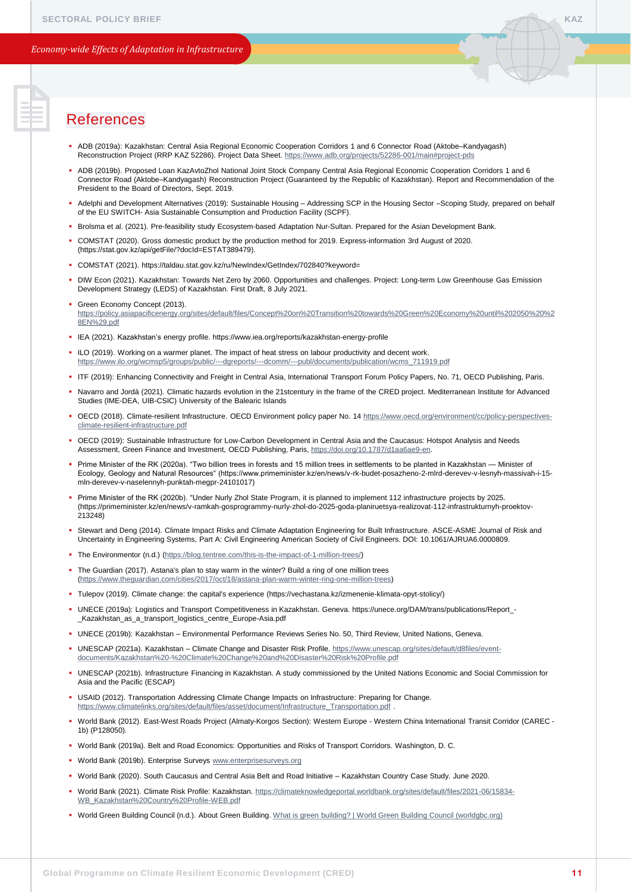- ADB (2019a): Kazakhstan: Central Asia Regional Economic Cooperation Corridors 1 and 6 Connector Road (Aktobe–Kandyagash) Reconstruction Project (RRP KAZ 52286). Project Data Sheet. <https://www.adb.org/projects/52286-001/main#project-pds>
- ADB (2019b). Proposed Loan KazAvtoZhol National Joint Stock Company Central Asia Regional Economic Cooperation Corridors 1 and 6 Connector Road (Aktobe–Kandyagash) Reconstruction Project (Guaranteed by the Republic of Kazakhstan). Report and Recommendation of the President to the Board of Directors, Sept. 2019.
- Adelphi and Development Alternatives (2019): Sustainable Housing Addressing SCP in the Housing Sector –Scoping Study, prepared on behalf of the EU SWITCH- Asia Sustainable Consumption and Production Facility (SCPF).
- Brolsma et al. (2021). Pre-feasibility study Ecosystem-based Adaptation Nur-Sultan. Prepared for the Asian Development Bank.
- COMSTAT (2020). Gross domestic product by the production method for 2019. Express-information 3rd August of 2020. (https://stat.gov.kz/api/getFile/?docId=ESTAT389479).
- COMSTAT (2021). https://taldau.stat.gov.kz/ru/NewIndex/GetIndex/702840?keyword=
- DIW Econ (2021). Kazakhstan: Towards Net Zero by 2060. Opportunities and challenges. Project: Long-term Low Greenhouse Gas Emission Development Strategy (LEDS) of Kazakhstan. First Draft, 8 July 2021.
- **Green Economy Concept (2013).** [https://policy.asiapacificenergy.org/sites/default/files/Concept%20on%20Transition%20towards%20Green%20Economy%20until%202050%20%2](https://policy.asiapacificenergy.org/sites/default/files/Concept%20on%20Transition%20towards%20Green%20Economy%20until%202050%20%28EN%29.pdf) 8EN%29.pdf
- IEA (2021). Kazakhstan's energy profile. https://www.iea.org/reports/kazakhstan-energy-profile
- ILO (2019). Working on a warmer planet. The impact of heat stress on labour productivity and decent work. [https://www.ilo.org/wcmsp5/groups/public/---dgreports/---dcomm/---publ/documents/publication/wcms\\_711919.pdf](https://www.ilo.org/wcmsp5/groups/public/---dgreports/---dcomm/---publ/documents/publication/wcms_711919.pdf)
- ITF (2019): Enhancing Connectivity and Freight in Central Asia, International Transport Forum Policy Papers, No. 71, OECD Publishing, Paris.
- Navarro and Jordà (2021). Climatic hazards evolution in the 21stcentury in the frame of the CRED project. Mediterranean Institute for Advanced Studies (IME-DEA, UIB-CSIC) University of the Balearic Islands
- [OECD \(2018\). Climate-resilient Infrastructure. OECD Environment policy paper No. 14 https://www.oecd.org/environment/cc/policy-perspectives](https://www.oecd.org/environment/cc/policy-perspectives-climate-resilient-infrastructure.pdf)climate-resilient-infrastructure.pdf
- OECD (2019): Sustainable Infrastructure for Low-Carbon Development in Central Asia and the Caucasus: Hotspot Analysis and Needs Assessment, Green Finance and Investment, OECD Publishing, Paris, <https://doi.org/10.1787/d1aa6ae9-en>.
- Prime Minister of the RK (2020a). "Two billion trees in forests and 15 million trees in settlements to be planted in Kazakhstan Minister of Ecology, Geology and Natural Resources" (https://www.primeminister.kz/en/news/v-rk-budet-posazheno-2-mlrd-derevev-v-lesnyh-massivah-i-15 mln-derevev-v-naselennyh-punktah-megpr-24101017)
- Prime Minister of the RK (2020b). "Under Nurly Zhol State Program, it is planned to implement 112 infrastructure projects by 2025. (https://primeminister.kz/en/news/v-ramkah-gosprogrammy-nurly-zhol-do-2025-goda-planiruetsya-realizovat-112-infrastrukturnyh-proektov-213248)
- . Stewart and Deng (2014). Climate Impact Risks and Climate Adaptation Engineering for Built Infrastructure. ASCE-ASME Journal of Risk and Uncertainty in Engineering Systems, Part A: Civil Engineering American Society of Civil Engineers. DOI: 10.1061/AJRUA6.0000809.
- The Environmentor (n.d.) ([https://blog.tentree.com/this-is-the-impact-of-1-million-trees/\)](https://blog.tentree.com/this-is-the-impact-of-1-million-trees/)
- The Guardian (2017). Astana's plan to stay warm in the winter? Build a ring of one million trees (<https://www.theguardian.com/cities/2017/oct/18/astana-plan-warm-winter-ring-one-million-trees>)
- Tulepov (2019). Climate change: the capital's experience (https://vechastana.kz/izmenenie-klimata-opyt-stolicy/)
- UNECE (2019a): Logistics and Transport Competitiveness in Kazakhstan. Geneva. https://unece.org/DAM/trans/publications/Report\_- \_Kazakhstan\_as\_a\_transport\_logistics\_centre\_Europe-Asia.pdf
- UNECE (2019b): Kazakhstan Environmental Performance Reviews Series No. 50, Third Review, United Nations, Geneva.
- UNESCAP (2021a). Kazakhstan Climate Change and Disaster Risk Profile. https://www.unescap.org/sites/default/d8files/event[documents/Kazakhstan%20-%20Climate%20Change%20and%20Disaster%20Risk%20Profile.pdf](https://www.unescap.org/sites/default/d8files/event-documents/Kazakhstan%20-%20Climate%20Change%20and%20Disaster%20Risk%20Profile.pdf)
- UNESCAP (2021b). Infrastructure Financing in Kazakhstan. A study commissioned by the United Nations Economic and Social Commission for Asia and the Pacific (ESCAP)
- USAID (2012). Transportation Addressing Climate Change Impacts on Infrastructure: Preparing for Change. [https://www.climatelinks.org/sites/default/files/asset/document/Infrastructure\\_Transportation.pdf](https://www.climatelinks.org/sites/default/files/asset/document/Infrastructure_Transportation.pdf)
- World Bank (2012). East-West Roads Project (Almaty-Korgos Section): Western Europe Western China International Transit Corridor (CAREC 1b) (P128050).
- World Bank (2019a). Belt and Road Economics: Opportunities and Risks of Transport Corridors. Washington, D. C.
- World Bank (2019b). Enterprise Surveys [www.enterprisesurveys.org](http://www.enterprisesurveys.org/)
- World Bank (2020). South Caucasus and Central Asia Belt and Road Initiative Kazakhstan Country Case Study. June 2020.
- [World Bank \(2021\). Climate Risk Profile: Kazakhstan. https://climateknowledgeportal.worldbank.org/sites/default/files/2021-06/15834-](https://climateknowledgeportal.worldbank.org/sites/default/files/2021-06/15834-WB_Kazakhstan%20Country%20Profile-WEB.pdf) WB\_Kazakhstan%20Country%20Profile-WEB.pdf
- World Green Building Council (n.d.). About Green Building. [What is green building? | World Green Building Council \(worldgbc.org\)](https://www.worldgbc.org/what-green-building)